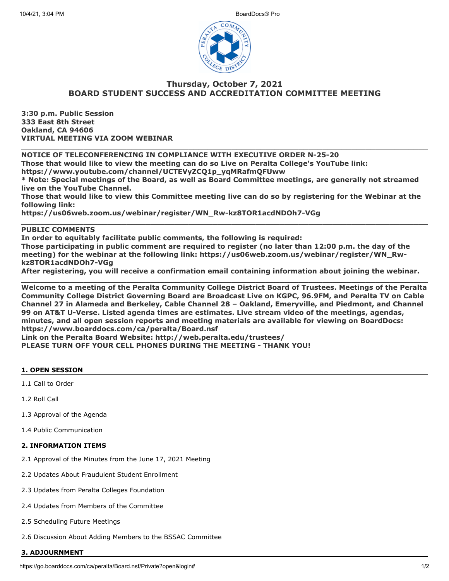

# **Thursday, October 7, 2021 BOARD STUDENT SUCCESS AND ACCREDITATION COMMITTEE MEETING**

**3:30 p.m. Public Session 333 East 8th Street Oakland, CA 94606 VIRTUAL MEETING VIA ZOOM WEBINAR**

**NOTICE OF TELECONFERENCING IN COMPLIANCE WITH EXECUTIVE ORDER N-25-20**

**Those that would like to view the meeting can do so Live on Peralta College's YouTube link:**

**https://www.youtube.com/channel/UCTEVyZCQ1p\_yqMRafmQFUww**

**\* Note: Special meetings of the Board, as well as Board Committee meetings, are generally not streamed live on the YouTube Channel.**

**\_\_\_\_\_\_\_\_\_\_\_\_\_\_\_\_\_\_\_\_\_\_\_\_\_\_\_\_\_\_\_\_\_\_\_\_\_\_\_\_\_\_\_\_\_\_\_\_\_\_\_\_\_\_\_\_\_\_\_\_\_\_\_\_\_\_\_\_\_\_\_\_\_\_\_\_\_\_\_\_\_\_\_\_\_**

**Those that would like to view this Committee meeting live can do so by registering for the Webinar at the following link:**

**\_\_\_\_\_\_\_\_\_\_\_\_\_\_\_\_\_\_\_\_\_\_\_\_\_\_\_\_\_\_\_\_\_\_\_\_\_\_\_\_\_\_\_\_\_\_\_\_\_\_\_\_\_\_\_\_\_\_\_\_\_\_\_\_\_\_\_\_\_\_\_\_\_\_\_\_\_\_\_\_\_\_\_\_\_**

**https://us06web.zoom.us/webinar/register/WN\_Rw-kz8TOR1acdNDOh7-VGg**

# **PUBLIC COMMENTS**

**In order to equitably facilitate public comments, the following is required: Those participating in public comment are required to register (no later than 12:00 p.m. the day of the meeting) for the webinar at the following link: https://us06web.zoom.us/webinar/register/WN\_Rwkz8TOR1acdNDOh7-VGg**

**After registering, you will receive a confirmation email containing information about joining the webinar. \_\_\_\_\_\_\_\_\_\_\_\_\_\_\_\_\_\_\_\_\_\_\_\_\_\_\_\_\_\_\_\_\_\_\_\_\_\_\_\_\_\_\_\_\_\_\_\_\_\_\_\_\_\_\_\_\_\_\_\_\_\_\_\_\_\_\_\_\_\_\_\_\_\_\_\_\_\_\_\_\_\_\_\_\_**

**Welcome to a meeting of the Peralta Community College District Board of Trustees. Meetings of the Peralta Community College District Governing Board are Broadcast Live on KGPC, 96.9FM, and Peralta TV on Cable Channel 27 in Alameda and Berkeley, Cable Channel 28 – Oakland, Emeryville, and Piedmont, and Channel 99 on AT&T U-Verse. Listed agenda times are estimates. Live stream video of the meetings, agendas, minutes, and all open session reports and meeting materials are available for viewing on BoardDocs: https://www.boarddocs.com/ca/peralta/Board.nsf**

**Link on the Peralta Board Website: http://web.peralta.edu/trustees/**

**PLEASE TURN OFF YOUR CELL PHONES DURING THE MEETING - THANK YOU!**

### **1. OPEN SESSION**

1.1 Call to Order

1.2 Roll Call

1.3 Approval of the Agenda

1.4 Public Communication

#### **2. INFORMATION ITEMS**

- 2.1 Approval of the Minutes from the June 17, 2021 Meeting
- 2.2 Updates About Fraudulent Student Enrollment
- 2.3 Updates from Peralta Colleges Foundation
- 2.4 Updates from Members of the Committee
- 2.5 Scheduling Future Meetings
- 2.6 Discussion About Adding Members to the BSSAC Committee

### **3. ADJOURNMENT**